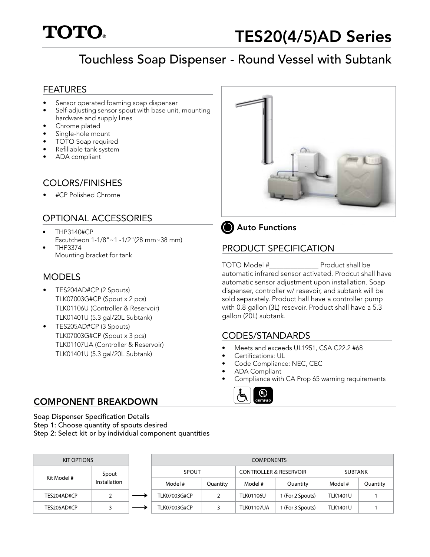

# Touchless Soap Dispenser - Round Vessel with Subtank

### FEATURES

- Sensor operated foaming soap dispenser
- Self-adjusting sensor spout with base unit, mounting hardware and supply lines
- Chrome plated
- Single-hole mount
- TOTO Soap required
- Refillable tank system
- ADA compliant

# COLORS/FINISHES

• #CP Polished Chrome

## OPTIONAL ACCESSORIES

- THP3140#CP Escutcheon 1-1/8"~1 -1/2"(28 mm~38 mm)
- THP3374 Mounting bracket for tank

## MODELS

- TES204AD#CP (2 Spouts) TLK07003G#CP (Spout x 2 pcs) TLK01106U (Controller & Reservoir) TLK01401U (5.3 gal/20L Subtank)
- TES205AD#CP (3 Spouts) TLK07003G#CP (Spout x 3 pcs) TLK01107UA (Controller & Reservoir) TLK01401U (5.3 gal/20L Subtank)





# PRODUCT SPECIFICATION

TOTO Model #\_\_\_\_\_\_\_\_\_\_\_\_\_\_ Product shall be automatic infrared sensor activated. Prodcut shall have automatic sensor adjustment upon installation. Soap dispenser, controller w/ resevoir, and subtank will be sold separately. Product hall have a controller pump with 0.8 gallon (3L) resevoir. Product shall have a 5.3 gallon (20L) subtank.

### CODES/STANDARDS

- Meets and exceeds UL1951, CSA C22.2 #68
- Certifications: UL
- Code Compliance: NEC, CEC
- ADA Compliant
- Compliance with CA Prop 65 warning requirements



## COMPONENT BREAKDOWN

Soap Dispenser Specification Details Step 1: Choose quantity of spouts desired Step 2: Select kit or by individual component quantities

| <b>KIT OPTIONS</b> |             | <b>COMPONENTS</b> |  |                     |          |                                   |                  |                 |          |
|--------------------|-------------|-------------------|--|---------------------|----------|-----------------------------------|------------------|-----------------|----------|
|                    | Kit Model # | Spout             |  | SPOUT               |          | <b>CONTROLLER &amp; RESERVOIR</b> |                  | <b>SUBTANK</b>  |          |
|                    |             | Installation      |  | Model #             | Quantity | Model #                           | Quantity         | Model #         | Quantity |
|                    | TES204AD#CP | ∠                 |  | <b>TLK07003G#CP</b> |          | <b>TLK01106U</b>                  | I (For 2 Spouts) | <b>TLK1401U</b> |          |
|                    | TES205AD#CP |                   |  | <b>TLK07003G#CP</b> |          | <b>TLK01107UA</b>                 | l (For 3 Spouts) | <b>TLK1401U</b> |          |